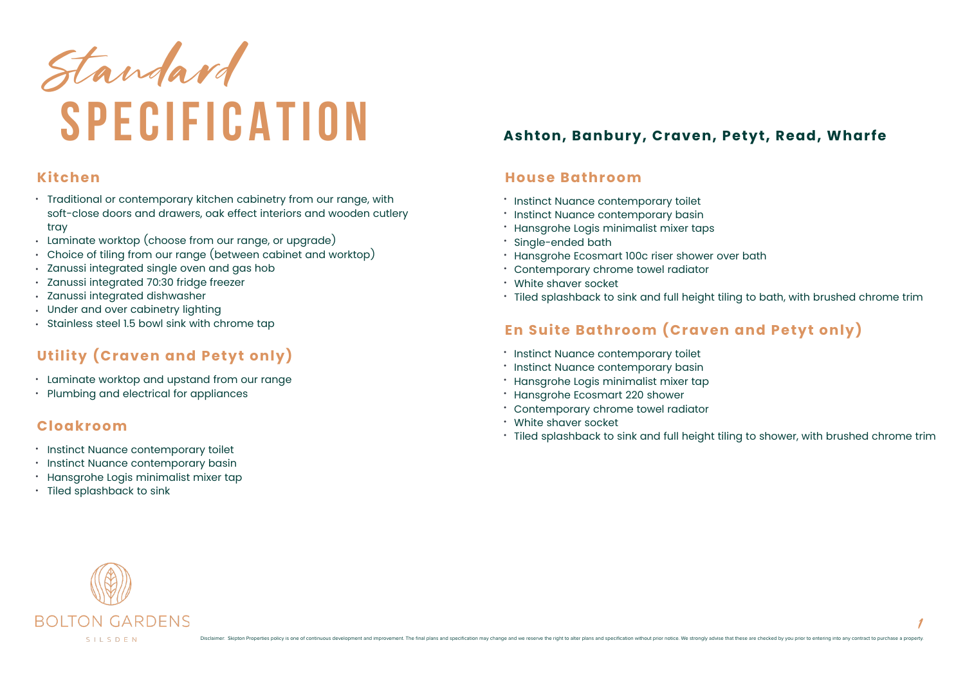

## **Kitchen**

- $\cdot$  Traditional or contemporary kitchen cabinetry from our range, with soft-close doors and drawers, oak effect interiors and wooden cutlery tray
- Laminate worktop (choose from our range, or upgrade)
- Choice of tiling from our range (between cabinet and worktop)
- $\cdot$  -Zanussi integrated single oven and gas hob
- Zanussi integrated 70:30 fridge freezer
- Zanussi integrated dishwasher
- Under and over cabinetry lighting
- Stainless steel 1.5 bowl sink with chrome tap

# **Utility (Craven and Petyt only)**

- $\cdot$   $\,$  Laminate worktop and upstand from our range
- $\cdot$   $\,$  Plumbing and electrical for appliances

## **Cloakroom**

- Instinct Nuance contemporary toilet
- Instinct Nuance contemporary basin
- Hansgrohe Logis minimalist mixer tap
- Tiled splashback to sink

# **Ashton, Banbury, Craven, Petyt, Read, Wharfe**

## **House Bathroom**

- $\cdot$  Instinct Nuance contemporary toilet
- Instinct Nuance contemporary basin
- Hansgrohe Logis minimalist mixer taps
- $\cdot$  Single-ended bath
- Hansgrohe Ecosmart 100c riser shower over bath •
- Contemporary chrome towel radiator •
- White shaver socket
- $\cdot$  Tiled splashback to sink and full height tiling to bath, with brushed chrome trim

## **En Suite Bathroom (Craven and Petyt only)**

- $^{\ast}$  Instinct Nuance contemporary toilet
- Instinct Nuance contemporary basin
- Hansgrohe Logis minimalist mixer tap •
- Hansgrohe Ecosmart 220 shower •
- Contemporary chrome towel radiator •
- White shaver socket •
- $\cdot$  Tiled splashback to sink and full height tiling to shower, with brushed chrome trim